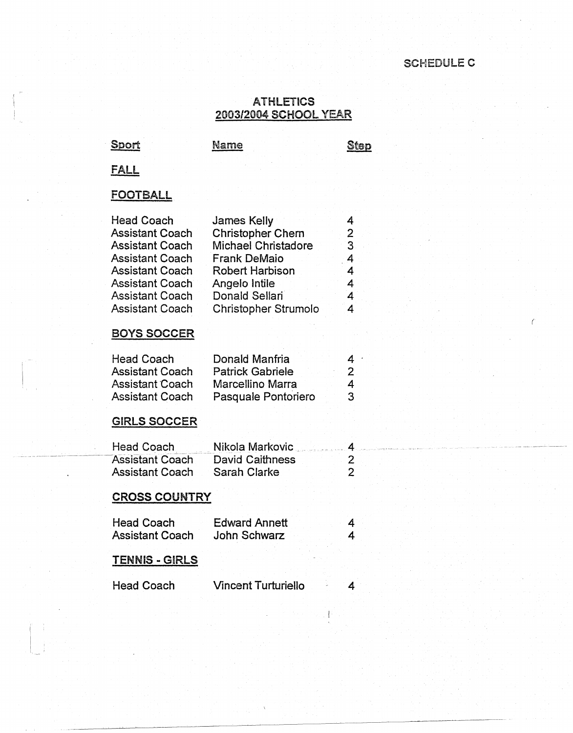### SCHEDULE C

#### ATHLETICS 2003/2004 SCHOOL YEAR

Sport Name Name Step

FALL

## FOOTBALL

| <b>Head Coach</b><br><b>Assistant Coach</b> | James Kelly                                            | 4                   |  |  |
|---------------------------------------------|--------------------------------------------------------|---------------------|--|--|
| <b>Assistant Coach</b>                      | <b>Christopher Chern</b><br><b>Michael Christadore</b> | 2<br>3              |  |  |
| <b>Assistant Coach</b>                      | <b>Frank DeMaio</b>                                    | 4                   |  |  |
| <b>Assistant Coach</b>                      | <b>Robert Harbison</b>                                 | 4                   |  |  |
| <b>Assistant Coach</b>                      | Angelo Intile                                          | 4                   |  |  |
| <b>Assistant Coach</b>                      | Donald Sellari                                         | 4                   |  |  |
| <b>Assistant Coach</b>                      | Christopher Strumolo                                   | 4                   |  |  |
|                                             |                                                        |                     |  |  |
| <b>BOYS SOCCER</b>                          |                                                        |                     |  |  |
|                                             |                                                        |                     |  |  |
| <b>Head Coach</b><br><b>Assistant Coach</b> | Donald Manfria<br><b>Patrick Gabriele</b>              | 4<br>$\overline{2}$ |  |  |
| <b>Assistant Coach</b>                      | Marcellino Marra                                       | 4                   |  |  |
| <b>Assistant Coach</b>                      | Pasquale Pontoriero                                    | 3                   |  |  |
|                                             |                                                        |                     |  |  |
| <b>GIRLS SOCCER</b>                         |                                                        |                     |  |  |
|                                             |                                                        |                     |  |  |
| Head Coach                                  | Nikola Markovic                                        | 4                   |  |  |
| <b>Assistant Coach</b>                      | <b>David Caithness</b>                                 | $\frac{2}{2}$       |  |  |
| <b>Assistant Coach</b>                      | Sarah Clarke                                           |                     |  |  |
|                                             |                                                        |                     |  |  |
| <b>CROSS COUNTRY</b>                        |                                                        |                     |  |  |
| <b>Head Coach</b>                           | <b>Edward Annett</b>                                   | 4                   |  |  |
| <b>Assistant Coach</b>                      | John Schwarz                                           | 4                   |  |  |
|                                             |                                                        |                     |  |  |
| <b>TENNIS - GIRLS</b>                       |                                                        |                     |  |  |
|                                             |                                                        |                     |  |  |
| <b>Head Coach</b>                           | <b>Vincent Turturiello</b>                             | 4                   |  |  |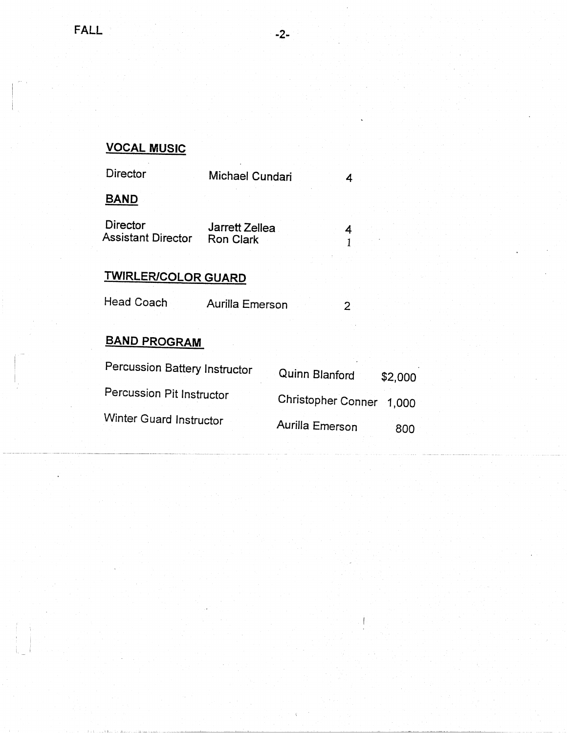i.

 $$2,000$ 

# **VOCAL MUSIC**

| Director                       | Michael Cundari                    |                          | 4       |
|--------------------------------|------------------------------------|--------------------------|---------|
| <b>BAND</b>                    |                                    |                          |         |
| Director<br>Assistant Director | Jarrett Zellea<br><b>Ron Clark</b> |                          | 4       |
| <b>TWIRLER/COLOR GUARD</b>     |                                    |                          |         |
| Head Coach                     | Aurilla Emerson                    |                          | 2       |
| <b>BAND PROGRAM</b>            |                                    |                          |         |
| Percussion Battery Instructor  |                                    | Quinn Blanford           | \$2,000 |
| Percussion Pit Instructor      |                                    | Christopher Conner 1,000 |         |
| Winter Guard Instructor        |                                    | Aurilla Emerson          | 800     |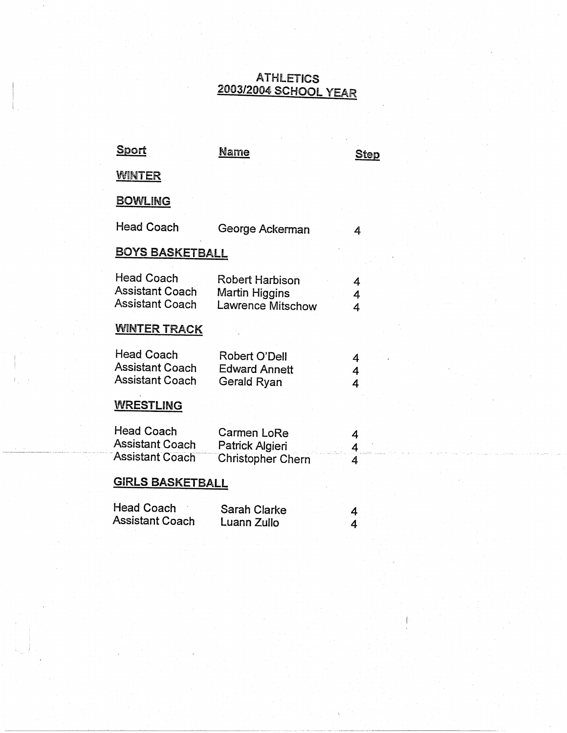### ATHLETICS 2003/2004 SCHOOL YEAR

| <u>Sport</u>                                                          | Name                                                   | <u>Step</u> |
|-----------------------------------------------------------------------|--------------------------------------------------------|-------------|
| <b>WINTER</b>                                                         |                                                        |             |
| <b>BOWLING</b>                                                        |                                                        |             |
| <b>Head Coach</b>                                                     | George Ackerman                                        | 4           |
| <b>BOYS BASKETBALL</b>                                                |                                                        |             |
| <b>Head Coach</b><br><b>Assistant Coach</b><br><b>Assistant Coach</b> | Robert Harbison<br>Martin Higgins<br>Lawrence Mitschow | 4<br>4<br>4 |
| <b>WINTER TRACK</b>                                                   |                                                        |             |
| <b>Head Coach</b><br><b>Assistant Coach</b><br><b>Assistant Coach</b> | Robert O'Dell<br><b>Edward Annett</b><br>Gerald Ryan   | 4<br>4<br>4 |
| <b>WRESTLING</b>                                                      |                                                        |             |
| <b>Head Coach</b><br><b>Assistant Coach</b><br><b>Assistant Coach</b> | Carmen LoRe<br>Patrick Algieri<br>Christopher Chern    | 4<br>4<br>4 |
| <b>GIRLS BASKETBALL</b>                                               |                                                        |             |
| <b>Head Coach</b><br><b>Assistant Coach</b>                           | Sarah Clarke<br>Luann Zullo                            | 4<br>4      |

Ì

i.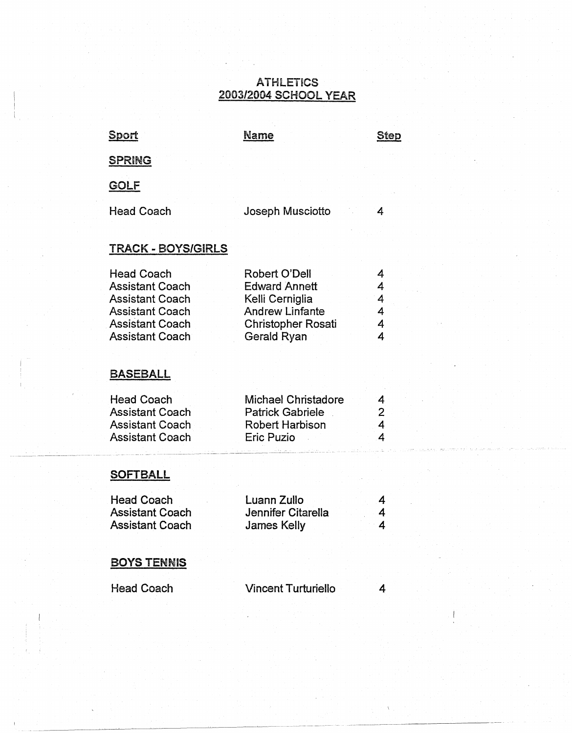### ATHlETiCS 2003/2004 SCHOOl YEAR

| <u>Sport</u>                                                                                                                                        | <b>Name</b>                                                                                                                    | <b>Step</b>                   |
|-----------------------------------------------------------------------------------------------------------------------------------------------------|--------------------------------------------------------------------------------------------------------------------------------|-------------------------------|
| <b>SPRING</b>                                                                                                                                       |                                                                                                                                |                               |
| <b>GOLF</b>                                                                                                                                         |                                                                                                                                |                               |
| <b>Head Coach</b>                                                                                                                                   | Joseph Musciotto                                                                                                               | 4                             |
| <b>TRACK - BOYS/GIRLS</b>                                                                                                                           |                                                                                                                                |                               |
| <b>Head Coach</b><br><b>Assistant Coach</b><br><b>Assistant Coach</b><br><b>Assistant Coach</b><br><b>Assistant Coach</b><br><b>Assistant Coach</b> | Robert O'Dell<br><b>Edward Annett</b><br>Kelli Cerniglia<br><b>Andrew Linfante</b><br><b>Christopher Rosati</b><br>Gerald Ryan | 4<br>4<br>4<br>4<br>4<br>4    |
| <b>BASEBALL</b>                                                                                                                                     |                                                                                                                                |                               |
| <b>Head Coach</b><br><b>Assistant Coach</b><br><b>Assistant Coach</b><br><b>Assistant Coach</b>                                                     | <b>Michael Christadore</b><br><b>Patrick Gabriele</b><br>Robert Harbison<br>Eric Puzio                                         | 4<br>$\overline{c}$<br>4<br>4 |
| <b>SOFTBALL</b>                                                                                                                                     |                                                                                                                                |                               |
| <b>Head Coach</b><br><b>Assistant Coach</b><br><b>Assistant Coach</b>                                                                               | Luann Zullo<br><b>Jennifer Citarella</b><br><b>James Kelly</b>                                                                 | 4<br>4<br>4                   |
| <b>BOYS TENNIS</b>                                                                                                                                  |                                                                                                                                |                               |
| <b>Head Coach</b>                                                                                                                                   | <b>Vincent Turturiello</b>                                                                                                     | 4                             |

-~·--------